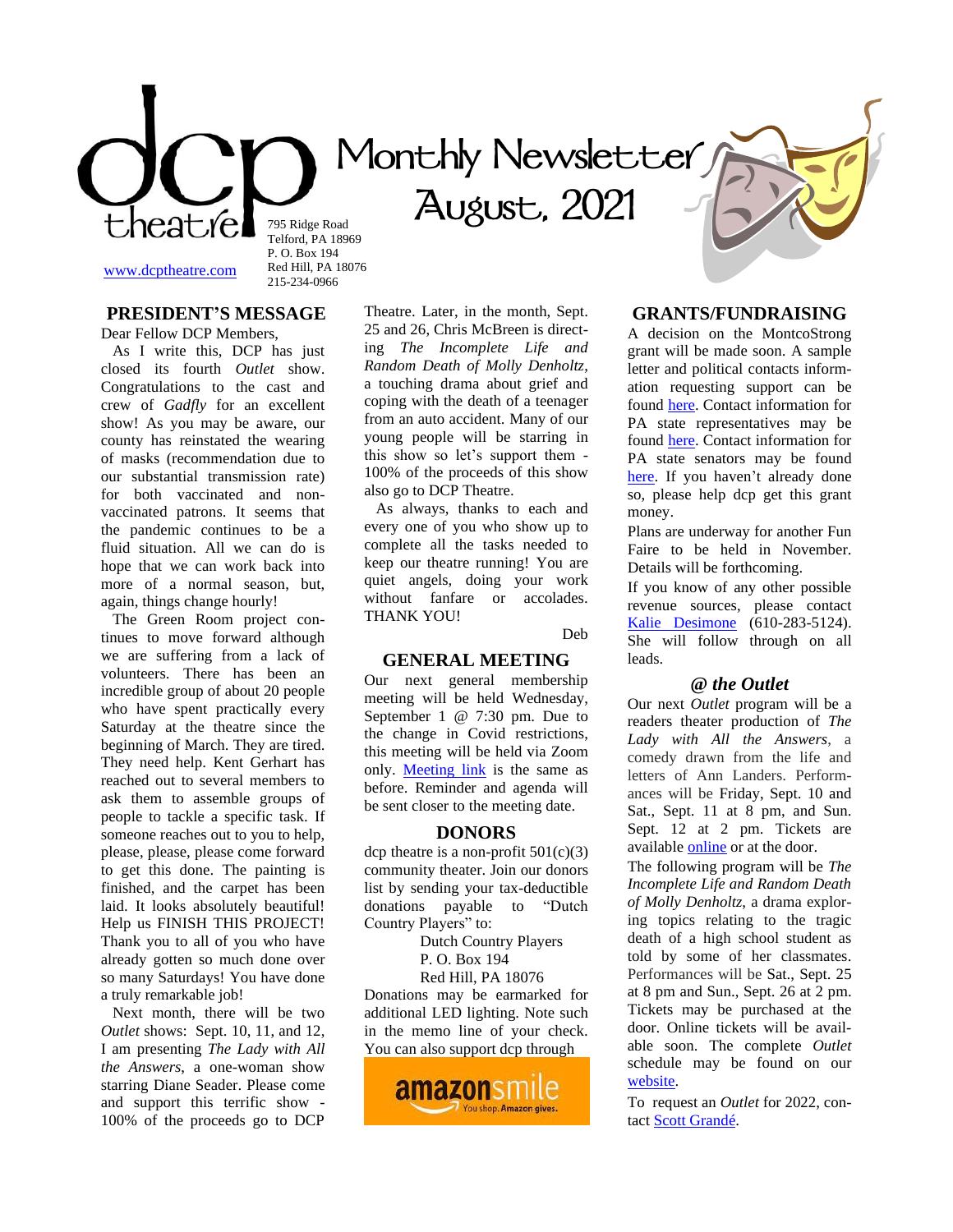795 Ridge Road Telford, PA 18969 P. O. Box 194

# **Monthly Newsletter**

 **August, 2021** 

[www.dcptheatre.com](http://www.dcptheatre.com/)

**PRESIDENT'S MESSAGE**

Red Hill, PA 18076 215-234-0966

Dear Fellow DCP Members, As I write this, DCP has just closed its fourth *Outlet* show. Congratulations to the cast and crew of *Gadfly* for an excellent show! As you may be aware, our county has reinstated the wearing of masks (recommendation due to our substantial transmission rate) for both vaccinated and nonvaccinated patrons. It seems that the pandemic continues to be a fluid situation. All we can do is hope that we can work back into more of a normal season, but, again, things change hourly!

 The Green Room project continues to move forward although we are suffering from a lack of volunteers. There has been an incredible group of about 20 people who have spent practically every Saturday at the theatre since the beginning of March. They are tired. They need help. Kent Gerhart has reached out to several members to ask them to assemble groups of people to tackle a specific task. If someone reaches out to you to help, please, please, please come forward to get this done. The painting is finished, and the carpet has been laid. It looks absolutely beautiful! Help us FINISH THIS PROJECT! Thank you to all of you who have already gotten so much done over so many Saturdays! You have done a truly remarkable job!

 Next month, there will be two *Outlet* shows: Sept. 10, 11, and 12, I am presenting *The Lady with All the Answers*, a one-woman show starring Diane Seader. Please come and support this terrific show - 100% of the proceeds go to DCP

Theatre. Later, in the month, Sept. 25 and 26, Chris McBreen is directing *The Incomplete Life and Random Death of Molly Denholtz*, a touching drama about grief and coping with the death of a teenager from an auto accident. Many of our young people will be starring in this show so let's support them - 100% of the proceeds of this show also go to DCP Theatre.

 As always, thanks to each and every one of you who show up to complete all the tasks needed to keep our theatre running! You are quiet angels, doing your work without fanfare or accolades. THANK YOU!

Deb

#### **GENERAL MEETING**

Our next general membership meeting will be held Wednesday, September 1 @ 7:30 pm. Due to the change in Covid restrictions, this meeting will be held via Zoom only. [Meeting](https://us02web.zoom.us/j/82418450829?pwd=S2NOYnovMmhYbWRObzNSQjJ5Ujh4Zz09#success) link is the same as before. Reminder and agenda will be sent closer to the meeting date.

#### **DONORS**

dcp theatre is a non-profit  $501(c)(3)$ community theater. Join our donors list by sending your tax-deductible donations payable to "Dutch Country Players" to:

Dutch Country Players

P. O. Box 194

Red Hill, PA 18076

Donations may be earmarked for additional LED lighting. Note such in the memo line of your check. You can also support dcp through



#### **GRANTS/FUNDRAISING**

A decision on the MontcoStrong grant will be made soon. A sample letter and political contacts information requesting support can be found [here.](https://mcusercontent.com/6cd1692bb83793d8526ead6be/files/2046ffac-8212-30b7-0f77-a472f5cc4b78/MontcoStrong_grant.pdf) Contact information for PA state representatives may be found [here.](https://www.legis.state.pa.us/cfdocs/legis/home/member_information/mbrList.cfm?body=H&sort=alpha) Contact information for PA state senators may be found [here.](https://www.legis.state.pa.us/cfdocs/legis/home/member_information/mbrList.cfm?body=S) If you haven't already done so, please help dcp get this grant money.

Plans are underway for another Fun Faire to be held in November. Details will be forthcoming.

If you know of any other possible revenue sources, please contact [Kalie Desimone](mailto:Kaliedesimone@yahoo.com) (610-283-5124). She will follow through on all leads.

#### **@** *the Outlet*

Our next *Outlet* program will be a readers theater production of *The Lady with All the Answers*, a comedy drawn from the life and letters of Ann Landers. Performances will be Friday, Sept. 10 and Sat., Sept. 11 at 8 pm, and Sun. Sept. 12 at 2 pm. Tickets are available [online](https://ci.ovationtix.com/35494/production/1070687) or at the door.

The following program will be *The Incomplete Life and Random Death of Molly Denholtz*, a drama exploring topics relating to the tragic death of a high school student as told by some of her classmates. Performances will be Sat., Sept. 25 at 8 pm and Sun., Sept. 26 at 2 pm. Tickets may be purchased at the door. Online tickets will be available soon. The complete *Outlet* schedule may be found on our [website.](https://www.dcptheatre.com/the-outlet)

To request an *Outlet* for 2022, con-tact [Scott Grandé.](mailto:ad@dcptheatre.com)